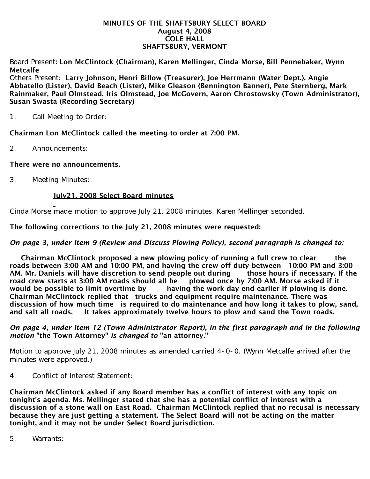#### MINUTES OF THE SHAFTSBURY SELECT BOARD August 4, 2008 COLE HALL SHAFTSBURY, VERMONT

Board Present: Lon McClintock (Chairman), Karen Mellinger, Cinda Morse, Bill Pennebaker, Wynn Metcalfe

Others Present: Larry Johnson, Henri Billow (Treasurer), Joe Herrmann (Water Dept.), Angie Abbatello (Lister), David Beach (Lister), Mike Gleason (Bennington Banner), Pete Sternberg, Mark Rainmaker, Paul Olmstead, Iris Olmstead, Joe McGovern, Aaron Chrostowsky (Town Administrator), Susan Swasta (Recording Secretary)

1. Call Meeting to Order:

## Chairman Lon McClintock called the meeting to order at 7:00 PM.

2. Announcements:

## There were no announcements.

3. Meeting Minutes:

## July21, 2008 Select Board minutes

Cinda Morse made motion to approve July 21, 2008 minutes. Karen Mellinger seconded.

## The following corrections to the July 21, 2008 minutes were requested:

## *On page 3, under Item 9 (Review and Discuss Plowing Policy), second paragraph is changed to:*

 Chairman McClintock proposed a new plowing policy of running a full crew to clear the roads between 3:00 AM and 10:00 PM, and having the crew off duty between 10:00 PM and 3:00 AM. Mr. Daniels will have discretion to send people out during those hours if necessary. If the road crew starts at 3:00 AM roads should all be plowed once by 7:00 AM. Morse asked if it would be possible to limit overtime by having the work day end earlier if plowing is done. Chairman McClintock replied that trucks and equipment require maintenance. There was discussion of how much time is required to do maintenance and how long it takes to plow, sand, and salt all roads. It takes approximately twelve hours to plow and sand the Town roads.

#### *On page 4, under Item 12 (Town Administrator Report), in the first paragraph and in the following motion* "the Town Attorney" *is changed to* "an attorney."

Motion to approve July 21, 2008 minutes as amended carried 4-0-0. (Wynn Metcalfe arrived after the minutes were approved.)

4. Conflict of Interest Statement:

Chairman McClintock asked if any Board member has a conflict of interest with any topic on tonight's agenda. Ms. Mellinger stated that she has a potential conflict of interest with a discussion of a stone wall on East Road. Chairman McClintock replied that no recusal is necessary because they are just getting a statement. The Select Board will not be acting on the matter tonight, and it may not be under Select Board jurisdiction.

5. Warrants: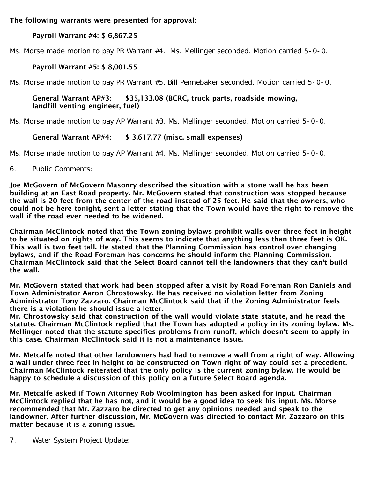The following warrants were presented for approval:

# Payroll Warrant #4: \$ 6,867.25

Ms. Morse made motion to pay PR Warrant #4. Ms. Mellinger seconded. Motion carried 5-0-0.

# Payroll Warrant #5: \$ 8,001.55

Ms. Morse made motion to pay PR Warrant #5. Bill Pennebaker seconded. Motion carried 5-0-0.

## General Warrant AP#3: \$35,133.08 (BCRC, truck parts, roadside mowing, landfill venting engineer, fuel)

Ms. Morse made motion to pay AP Warrant #3. Ms. Mellinger seconded. Motion carried 5-0-0.

# General Warrant AP#4: \$ 3,617.77 (misc. small expenses)

Ms. Morse made motion to pay AP Warrant #4. Ms. Mellinger seconded. Motion carried 5-0-0.

6. Public Comments:

Joe McGovern of McGovern Masonry described the situation with a stone wall he has been building at an East Road property. Mr. McGovern stated that construction was stopped because the wall is 20 feet from the center of the road instead of 25 feet. He said that the owners, who could not be here tonight, sent a letter stating that the Town would have the right to remove the wall if the road ever needed to be widened.

Chairman McClintock noted that the Town zoning bylaws prohibit walls over three feet in height to be situated on rights of way. This seems to indicate that anything less than three feet is OK. This wall is two feet tall. He stated that the Planning Commission has control over changing bylaws, and if the Road Foreman has concerns he should inform the Planning Commission. Chairman McClintock said that the Select Board cannot tell the landowners that they can't build the wall.

Mr. McGovern stated that work had been stopped after a visit by Road Foreman Ron Daniels and Town Administrator Aaron Chrostowsky. He has received no violation letter from Zoning Administrator Tony Zazzaro. Chairman McClintock said that if the Zoning Administrator feels there is a violation he should issue a letter.

Mr. Chrostowsky said that construction of the wall would violate state statute, and he read the statute. Chairman McClintock replied that the Town has adopted a policy in its zoning bylaw. Ms. Mellinger noted that the statute specifies problems from runoff, which doesn't seem to apply in this case. Chairman McClintock said it is not a maintenance issue.

Mr. Metcalfe noted that other landowners had had to remove a wall from a right of way. Allowing a wall under three feet in height to be constructed on Town right of way could set a precedent. Chairman McClintock reiterated that the only policy is the current zoning bylaw. He would be happy to schedule a discussion of this policy on a future Select Board agenda.

Mr. Metcalfe asked if Town Attorney Rob Woolmington has been asked for input. Chairman McClintock replied that he has not, and it would be a good idea to seek his input. Ms. Morse recommended that Mr. Zazzaro be directed to get any opinions needed and speak to the landowner. After further discussion, Mr. McGovern was directed to contact Mr. Zazzaro on this matter because it is a zoning issue.

7. Water System Project Update: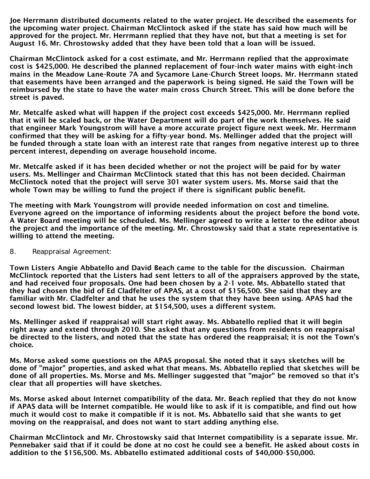Joe Herrmann distributed documents related to the water project. He described the easements for the upcoming water project. Chairman McClintock asked if the state has said how much will be approved for the project. Mr. Herrmann replied that they have not, but that a meeting is set for August 16. Mr. Chrostowsky added that they have been told that a loan will be issued.

Chairman McClintock asked for a cost estimate, and Mr. Herrmann replied that the approximate cost is \$425,000. He described the planned replacement of four-inch water mains with eight-inch mains in the Meadow Lane-Route 7A and Sycamore Lane-Church Street loops. Mr. Herrmann stated that easements have been arranged and the paperwork is being signed. He said the Town will be reimbursed by the state to have the water main cross Church Street. This will be done before the street is paved.

Mr. Metcalfe asked what will happen if the project cost exceeds \$425,000. Mr. Herrmann replied that it will be scaled back, or the Water Department will do part of the work themselves. He said that engineer Mark Youngstrom will have a more accurate project figure next week. Mr. Herrmann confirmed that they will be asking for a fifty-year bond. Ms. Mellinger added that the project will be funded through a state loan with an interest rate that ranges from negative interest up to three percent interest, depending on average household income.

Mr. Metcalfe asked if it has been decided whether or not the project will be paid for by water users. Ms. Mellinger and Chairman McClintock stated that this has not been decided. Chairman McClintock noted that the project will serve 301 water system users. Ms. Morse said that the whole Town may be willing to fund the project if there is significant public benefit.

The meeting with Mark Youngstrom will provide needed information on cost and timeline. Everyone agreed on the importance of informing residents about the project before the bond vote. A Water Board meeting will be scheduled. Ms. Mellinger agreed to write a letter to the editor about the project and the importance of the meeting. Mr. Chrostowsky said that a state representative is willing to attend the meeting.

8. Reappraisal Agreement:

Town Listers Angie Abbatello and David Beach came to the table for the discussion. Chairman McClintock reported that the Listers had sent letters to all of the appraisers approved by the state, and had received four proposals. One had been chosen by a 2-1 vote. Ms. Abbatello stated that they had chosen the bid of Ed Cladfelter of APAS, at a cost of \$156,500. She said that they are familiar with Mr. Cladfelter and that he uses the system that they have been using. APAS had the second lowest bid. The lowest bidder, at \$154,500, uses a different system.

Ms. Mellinger asked if reappraisal will start right away. Ms. Abbatello replied that it will begin right away and extend through 2010. She asked that any questions from residents on reappraisal be directed to the listers, and noted that the state has ordered the reappraisal; it is not the Town's choice.

Ms. Morse asked some questions on the APAS proposal. She noted that it says sketches will be done of "major" properties, and asked what that means. Ms. Abbatello replied that sketches will be done of all properties. Ms. Morse and Ms. Mellinger suggested that "major" be removed so that it's clear that all properties will have sketches.

Ms. Morse asked about Internet compatibility of the data. Mr. Beach replied that they do not know if APAS data will be Internet compatible. He would like to ask if it is compatible, and find out how much it would cost to make it compatible if it is not. Ms. Abbatello said that she wants to get moving on the reappraisal, and does not want to start adding anything else.

Chairman McClintock and Mr. Chrostowsky said that Internet compatibility is a separate issue. Mr. Pennebaker said that if it could be done at no cost he could see a benefit. He asked about costs in addition to the \$156,500. Ms. Abbatello estimated additional costs of \$40,000-\$50,000.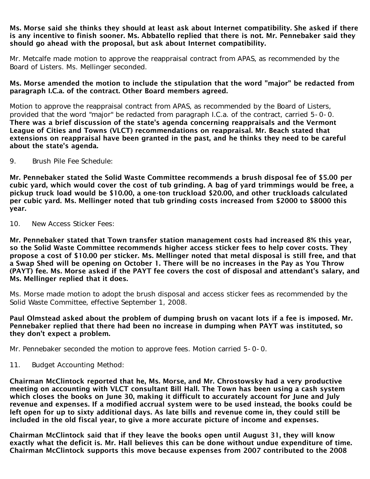#### Ms. Morse said she thinks they should at least ask about Internet compatibility. She asked if there is any incentive to finish sooner. Ms. Abbatello replied that there is not. Mr. Pennebaker said they should go ahead with the proposal, but ask about Internet compatibility.

Mr. Metcalfe made motion to approve the reappraisal contract from APAS, as recommended by the Board of Listers. Ms. Mellinger seconded.

#### Ms. Morse amended the motion to include the stipulation that the word "major" be redacted from paragraph I.C.a. of the contract. Other Board members agreed.

Motion to approve the reappraisal contract from APAS, as recommended by the Board of Listers, provided that the word "major" be redacted from paragraph I.C.a. of the contract, carried 5-0-0. There was a brief discussion of the state's agenda concerning reappraisals and the Vermont League of Cities and Towns (VLCT) recommendations on reappraisal. Mr. Beach stated that extensions on reappraisal have been granted in the past, and he thinks they need to be careful about the state's agenda.

9. Brush Pile Fee Schedule:

Mr. Pennebaker stated the Solid Waste Committee recommends a brush disposal fee of \$5.00 per cubic yard, which would cover the cost of tub grinding. A bag of yard trimmings would be free, a pickup truck load would be \$10.00, a one-ton truckload \$20.00, and other truckloads calculated per cubic yard. Ms. Mellinger noted that tub grinding costs increased from \$2000 to \$8000 this year.

10. New Access Sticker Fees:

Mr. Pennebaker stated that Town transfer station management costs had increased 8% this year, so the Solid Waste Committee recommends higher access sticker fees to help cover costs. They propose a cost of \$10.00 per sticker. Ms. Mellinger noted that metal disposal is still free, and that a Swap Shed will be opening on October 1. There will be no increases in the Pay as You Throw (PAYT) fee. Ms. Morse asked if the PAYT fee covers the cost of disposal and attendant's salary, and Ms. Mellinger replied that it does.

Ms. Morse made motion to adopt the brush disposal and access sticker fees as recommended by the Solid Waste Committee, effective September 1, 2008.

Paul Olmstead asked about the problem of dumping brush on vacant lots if a fee is imposed. Mr. Pennebaker replied that there had been no increase in dumping when PAYT was instituted, so they don't expect a problem.

Mr. Pennebaker seconded the motion to approve fees. Motion carried 5-0-0.

11. Budget Accounting Method:

Chairman McClintock reported that he, Ms. Morse, and Mr. Chrostowsky had a very productive meeting on accounting with VLCT consultant Bill Hall. The Town has been using a cash system which closes the books on June 30, making it difficult to accurately account for June and July revenue and expenses. If a modified accrual system were to be used instead, the books could be left open for up to sixty additional days. As late bills and revenue come in, they could still be included in the old fiscal year, to give a more accurate picture of income and expenses.

Chairman McClintock said that if they leave the books open until August 31, they will know exactly what the deficit is. Mr. Hall believes this can be done without undue expenditure of time. Chairman McClintock supports this move because expenses from 2007 contributed to the 2008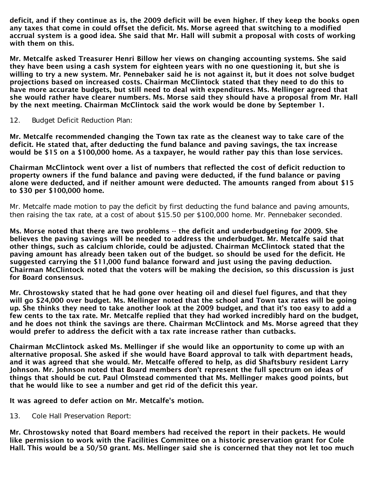deficit, and if they continue as is, the 2009 deficit will be even higher. If they keep the books open any taxes that come in could offset the deficit. Ms. Morse agreed that switching to a modified accrual system is a good idea. She said that Mr. Hall will submit a proposal with costs of working with them on this.

Mr. Metcalfe asked Treasurer Henri Billow her views on changing accounting systems. She said they have been using a cash system for eighteen years with no one questioning it, but she is willing to try a new system. Mr. Pennebaker said he is not against it, but it does not solve budget projections based on increased costs. Chairman McClintock stated that they need to do this to have more accurate budgets, but still need to deal with expenditures. Ms. Mellinger agreed that she would rather have clearer numbers. Ms. Morse said they should have a proposal from Mr. Hall by the next meeting. Chairman McClintock said the work would be done by September 1.

12. Budget Deficit Reduction Plan:

Mr. Metcalfe recommended changing the Town tax rate as the cleanest way to take care of the deficit. He stated that, after deducting the fund balance and paving savings, the tax increase would be \$15 on a \$100,000 home. As a taxpayer, he would rather pay this than lose services.

Chairman McClintock went over a list of numbers that reflected the cost of deficit reduction to property owners if the fund balance and paving were deducted, if the fund balance or paving alone were deducted, and if neither amount were deducted. The amounts ranged from about \$15 to \$30 per \$100,000 home.

Mr. Metcalfe made motion to pay the deficit by first deducting the fund balance and paving amounts, then raising the tax rate, at a cost of about \$15.50 per \$100,000 home. Mr. Pennebaker seconded.

Ms. Morse noted that there are two problems -- the deficit and underbudgeting for 2009. She believes the paving savings will be needed to address the underbudget. Mr. Metcalfe said that other things, such as calcium chloride, could be adjusted. Chairman McClintock stated that the paving amount has already been taken out of the budget. so should be used for the deficit. He suggested carrying the \$11,000 fund balance forward and just using the paving deduction. Chairman McClintock noted that the voters will be making the decision, so this discussion is just for Board consensus.

Mr. Chrostowsky stated that he had gone over heating oil and diesel fuel figures, and that they will go \$24,000 over budget. Ms. Mellinger noted that the school and Town tax rates will be going up. She thinks they need to take another look at the 2009 budget, and that it's too easy to add a few cents to the tax rate. Mr. Metcalfe replied that they had worked incredibly hard on the budget, and he does not think the savings are there. Chairman McClintock and Ms. Morse agreed that they would prefer to address the deficit with a tax rate increase rather than cutbacks.

Chairman McClintock asked Ms. Mellinger if she would like an opportunity to come up with an alternative proposal. She asked if she would have Board approval to talk with department heads, and it was agreed that she would. Mr. Metcalfe offered to help, as did Shaftsbury resident Larry Johnson. Mr. Johnson noted that Board members don't represent the full spectrum on ideas of things that should be cut. Paul Olmstead commented that Ms. Mellinger makes good points, but that he would like to see a number and get rid of the deficit this year.

It was agreed to defer action on Mr. Metcalfe's motion.

13. Cole Hall Preservation Report:

Mr. Chrostowsky noted that Board members had received the report in their packets. He would like permission to work with the Facilities Committee on a historic preservation grant for Cole Hall. This would be a 50/50 grant. Ms. Mellinger said she is concerned that they not let too much